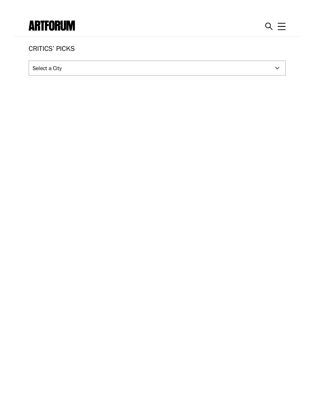## **ARTFORUM**

 $\checkmark$ 

## **CRITICS' PICKS**

Select a City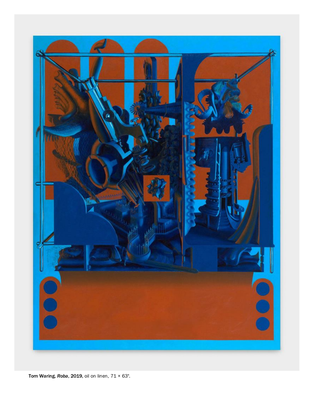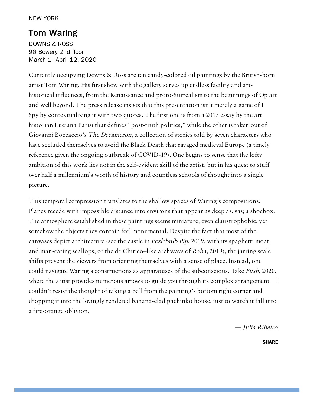## Tom [Waring](https://www.artforum.com/picks/tom-waring-82423)

[DOWNS](https://www.artforum.com/artguide/downs-ross-15088) & ROSS 96 Bowery 2nd floor March 1–April 12, 2020

Currently occupying Downs & Ross are ten candy-colored oil paintings by the British-born artist Tom Waring. His first show with the gallery serves up endless facility and arthistorical influences, from the Renaissance and proto-Surrealism to the beginnings of Op art and well beyond. The press release insists that this presentation isn't merely a game of I Spy by contextualizing it with two quotes. The first one is from a 2017 essay by the art historian Luciana Parisi that defines "post-truth politics," while the other is taken out of Giovanni Boccaccio's The Decameron, a collection of stories told by seven characters who have secluded themselves to avoid the Black Death that ravaged medieval Europe (a timely reference given the ongoing outbreak of COVID-19). One begins to sense that the lofty ambition of this work lies not in the self-evident skill of the artist, but in his quest to stuff over half a millennium's worth of history and countless schools of thought into a single picture.

This temporal compression translates to the shallow spaces of Waring's compositions. Planes recede with impossible distance into environs that appear as deep as, say, a shoebox. The atmosphere established in these paintings seems miniature, even claustrophobic, yet somehow the objects they contain feel monumental. Despite the fact that most of the canvases depict architecture (see the castle in Eezlebulb Pip, 2019, with its spaghetti moat and man-eating scallops, or the de Chirico–like archways of Roba, 2019), the jarring scale shifts prevent the viewers from orienting themselves with a sense of place. Instead, one could navigate Waring's constructions as apparatuses of the subconscious. Take Fush, 2020, where the artist provides numerous arrows to guide you through its complex arrangement—I couldn't resist the thought of taking a ball from the painting's bottom right corner and dropping it into the lovingly rendered banana-clad pachinko house, just to watch it fall into a fire-orange oblivion.

— Julia [Ribeiro](https://www.artforum.com/contributor/julia-ribeiro)

SHARE